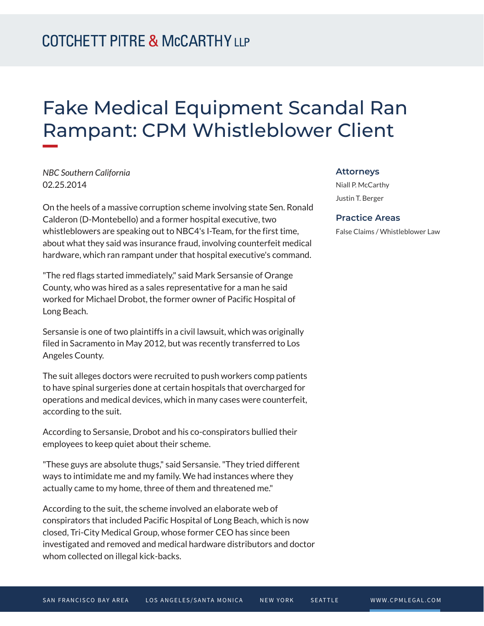## Fake Medical Equipment Scandal Ran Rampant: CPM Whistleblower Client

*NBC Southern California* 02.25.2014

**William** 

On the heels of a massive corruption scheme involving state Sen. Ronald Calderon (D-Montebello) and a former hospital executive, two whistleblowers are speaking out to NBC4's I-Team, for the first time, about what they said was insurance fraud, involving counterfeit medical hardware, which ran rampant under that hospital executive's command.

"The red flags started immediately," said Mark Sersansie of Orange County, who was hired as a sales representative for a man he said worked for Michael Drobot, the former owner of Pacific Hospital of Long Beach.

Sersansie is one of two plaintiffs in a civil lawsuit, which was originally filed in Sacramento in May 2012, but was recently transferred to Los Angeles County.

The suit alleges doctors were recruited to push workers comp patients to have spinal surgeries done at certain hospitals that overcharged for operations and medical devices, which in many cases were counterfeit, according to the suit.

According to Sersansie, Drobot and his co-conspirators bullied their employees to keep quiet about their scheme.

"These guys are absolute thugs," said Sersansie. "They tried different ways to intimidate me and my family. We had instances where they actually came to my home, three of them and threatened me."

According to the suit, the scheme involved an elaborate web of conspirators that included Pacific Hospital of Long Beach, which is now closed, Tri-City Medical Group, whose former CEO has since been investigated and removed and medical hardware distributors and doctor whom collected on illegal kick-backs.

## **Attorneys**

Niall P. McCarthy Justin T. Berger

## **Practice Areas**

False Claims / Whistleblower Law